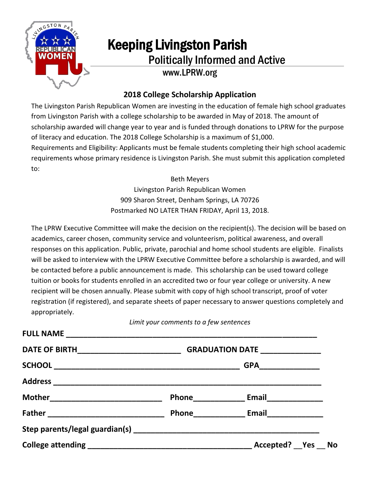

## Keeping Livingston Parish<br>Politically Informed and Active www.LPRW.org

## **2018 College Scholarship Application**

The Livingston Parish Republican Women are investing in the education of female high school graduates from Livingston Parish with a college scholarship to be awarded in May of 2018. The amount of scholarship awarded will change year to year and is funded through donations to LPRW for the purpose of literacy and education. The 2018 College Scholarship is a maximum of \$1,000.

Requirements and Eligibility: Applicants must be female students completing their high school academic requirements whose primary residence is Livingston Parish. She must submit this application completed to:

> Beth Meyers Livingston Parish Republican Women 909 Sharon Street, Denham Springs, LA 70726 Postmarked NO LATER THAN FRIDAY, April 13, 2018.

The LPRW Executive Committee will make the decision on the recipient(s). The decision will be based on academics, career chosen, community service and volunteerism, political awareness, and overall responses on this application. Public, private, parochial and home school students are eligible. Finalists will be asked to interview with the LPRW Executive Committee before a scholarship is awarded, and will be contacted before a public announcement is made. This scholarship can be used toward college tuition or books for students enrolled in an accredited two or four year college or university. A new recipient will be chosen annually. Please submit with copy of high school transcript, proof of voter registration (if registered), and separate sheets of paper necessary to answer questions completely and appropriately.

*Limit your comments to a few sentences*

| DATE OF BIRTH___________________________________GRADUATION DATE ________________ |                                                   |  |
|----------------------------------------------------------------------------------|---------------------------------------------------|--|
|                                                                                  | GPA________________                               |  |
|                                                                                  |                                                   |  |
|                                                                                  |                                                   |  |
|                                                                                  | Phone ____________________ Email_________________ |  |
|                                                                                  |                                                   |  |
|                                                                                  | Accepted? Yes No                                  |  |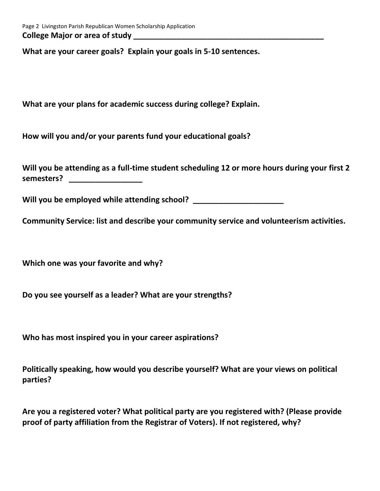**What are your career goals? Explain your goals in 5-10 sentences.**

**What are your plans for academic success during college? Explain.**

**How will you and/or your parents fund your educational goals?**

**Will you be attending as a full-time student scheduling 12 or more hours during your first 2 semesters? \_\_\_\_\_\_\_\_\_\_\_\_\_\_\_\_\_**

**Will you be employed while attending school? \_\_\_\_\_\_\_\_\_\_\_\_\_\_\_\_\_\_\_\_\_**

**Community Service: list and describe your community service and volunteerism activities.** 

**Which one was your favorite and why?**

**Do you see yourself as a leader? What are your strengths?**

**Who has most inspired you in your career aspirations?**

**Politically speaking, how would you describe yourself? What are your views on political parties?** 

**Are you a registered voter? What political party are you registered with? (Please provide proof of party affiliation from the Registrar of Voters). If not registered, why?**